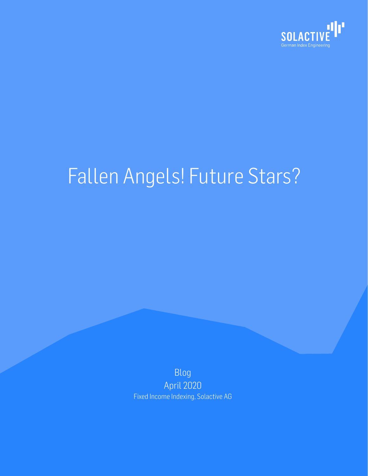

# Fallen Angels! Future Stars?

Blog April 2020 Fixed Income Indexing, Solactive AG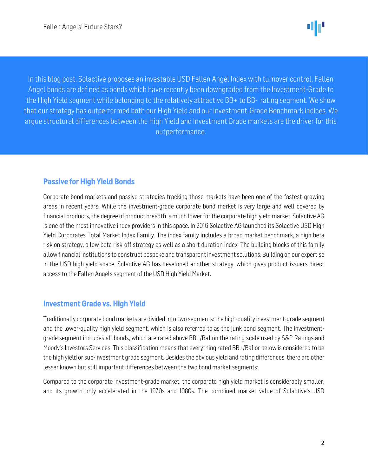l

I



 $\ddot{\phantom{0}}$ ľ  $\overline{a}$ In this blog post, Solactive proposes an investable USD Fallen Angel Index with turnover control. Fallen Angel bonds are defined as bonds which have recently been downgraded from the Investment-Grade to the High Yield segment while belonging to the relatively attractive BB+ to BB- rating segment. We show that our strategy has outperformed both our High Yield and our Investment-Grade Benchmark indices. We argue structural differences between the High Yield and Investment Grade markets are the driver for this outperformance.

#### Passive for High Yield Bonds

Corporate bond markets and passive strategies tracking those markets have been one of the fastest-growing areas in recent years. While the investment-grade corporate bond market is very large and well covered by financial products, the degree of product breadth is much lower for the corporate high yield market. Solactive AG is one of the most innovative index providers in this space. In 2016 Solactive AG launched its Solactive USD High Yield Corporates Total Market Index Family. The index family includes a broad market benchmark, a high beta risk on strategy, a low beta risk-off strategy as well as a short duration index. The building blocks of this family allow financial institutions to construct bespoke and transparent investment solutions. Building on our expertise in the USD high yield space, Solactive AG has developed another strategy, which gives product issuers direct access to the Fallen Angels segment of the USD High Yield Market.

#### Investment Grade vs. High Yield

Traditionally corporate bond markets are divided into two segments: the high-quality investment-grade segment and the lower-quality high yield segment, which is also referred to as the junk bond segment. The investmentgrade segment includes all bonds, which are rated above BB+/Ba1 on the rating scale used by S&P Ratings and Moody's Investors Services. This classification means that everything rated BB+/Ba1 or below is considered to be the high yield or sub-investment grade segment. Besides the obvious yield and rating differences, there are other lesser known but still important differences between the two bond market segments:

Compared to the corporate investment-grade market, the corporate high yield market is considerably smaller, and its growth only accelerated in the 1970s and 1980s. The combined market value of Solactive's USD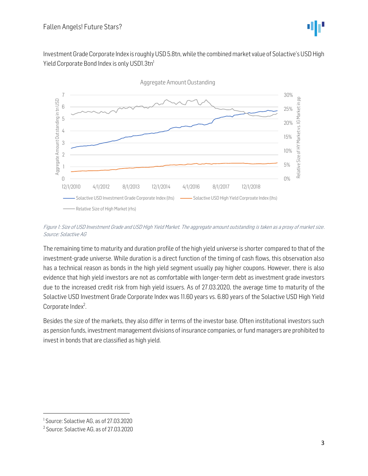Investment Grade Corporate Index is roughly USD 5.8tn, while the combined market value of Solactive's USD High Yield Corporate Bond Index is only USD1.3tn<sup>1</sup>



Figure 1: Size of USD Investment Grade and USD High Yield Market. The aggregate amount outstanding is taken as a proxy of market size. Source: Solactive AG

The remaining time to maturity and duration profile of the high yield universe is shorter compared to that of the investment-grade universe. While duration is a direct function of the timing of cash flows, this observation also has a technical reason as bonds in the high yield segment usually pay higher coupons. However, there is also evidence that high yield investors are not as comfortable with longer-term debt as investment grade investors due to the increased credit risk from high yield issuers. As of 27.03.2020, the average time to maturity of the Solactive USD Investment Grade Corporate Index was 11.60 years vs. 6.80 years of the Solactive USD High Yield Corporate Index<sup>2</sup>. .

Besides the size of the markets, they also differ in terms of the investor base. Often institutional investors such as pension funds, investment management divisions of insurance companies, or fund managers are prohibited to invest in bonds that are classified as high yield.

<sup>1</sup> Source: Solactive AG, as of 27.03.2020

<sup>2</sup> Source: Solactive AG, as of 27.03.2020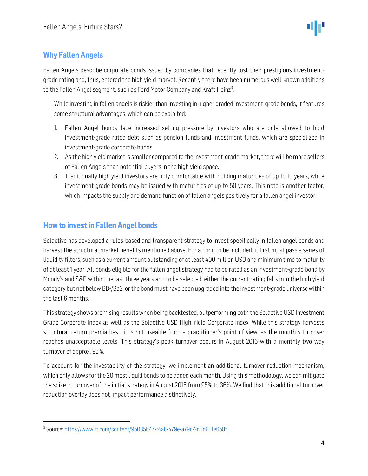## Why Fallen Angels

Fallen Angels describe corporate bonds issued by companies that recently lost their prestigious investmentgrade rating and, thus, entered the high yield market. Recently there have been numerous well-known additions to the Fallen Angel segment, such as Ford Motor Company and Kraft Heinz<sup>3</sup>. .

While investing in fallen angels is riskier than investing in higher graded investment-grade bonds, it features some structural advantages, which can be exploited:

- 1. Fallen Angel bonds face increased selling pressure by investors who are only allowed to hold investment-grade rated debt such as pension funds and investment funds, which are specialized in investment-grade corporate bonds.
- 2. As the high yield market is smaller compared to the investment-grade market, there will be more sellers of Fallen Angels than potential buyers in the high yield space.
- 3. Traditionally high yield investors are only comfortable with holding maturities of up to 10 years, while investment-grade bonds may be issued with maturities of up to 50 years. This note is another factor, which impacts the supply and demand function of fallen angels positively for a fallen angel investor.

### How to invest in Fallen Angel bonds

Solactive has developed a rules-based and transparent strategy to invest specifically in fallen angel bonds and harvest the structural market benefits mentioned above. For a bond to be included, it first must pass a series of liquidity filters, such as a current amount outstanding of at least 400 million USD and minimum time to maturity of at least 1 year. All bonds eligible for the fallen angel strategy had to be rated as an investment-grade bond by Moody's and S&P within the last three years and to be selected, either the current rating falls into the high yield category but not below BB-/Ba2, or the bond must have been upgraded into the investment-grade universe within the last 6 months.

This strategy shows promising results when being backtested, outperforming both the Solactive USD Investment Grade Corporate Index as well as the Solactive USD High Yield Corporate Index. While this strategy harvests structural return premia best, it is not useable from a practitioner's point of view, as the monthly turnover reaches unacceptable levels. This strategy's peak turnover occurs in August 2016 with a monthly two way turnover of approx. 95%.

To account for the investability of the strategy, we implement an additional turnover reduction mechanism, which only allows for the 20 most liquid bonds to be added each month. Using this methodology, we can mitigate the spike in turnover of the initial strategy in August 2016 from 95% to 36%. We find that this additional turnover reduction overlay does not impact performance distinctively.

<sup>&</sup>lt;sup>3</sup> Source: <u>https://www.ft.com/content/95035b47-f4ab-479e-a79c-2d0d981e658f</u>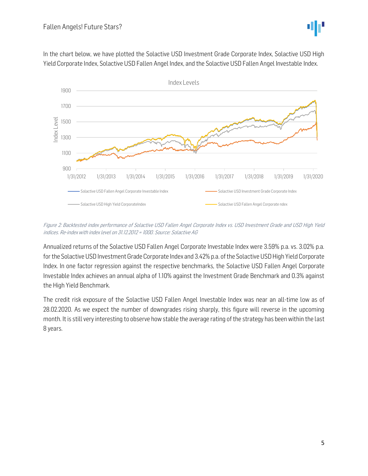

In the chart below, we have plotted the Solactive USD Investment Grade Corporate Index, Solactive USD High Yield Corporate Index, Solactive USD Fallen Angel Index, and the Solactive USD Fallen Angel Investable Index.



Figure 2: Backtested index performance of Solactive USD Fallen Angel Corporate Index vs. USD Investment Grade and USD High Yield indices. Re-index with index level on 31.12.2012 = 1000. Source: Solactive AG

Annualized returns of the Solactive USD Fallen Angel Corporate Investable Index were 3.59% p.a. vs. 3.02% p.a. for the Solactive USD Investment Grade Corporate Index and 3.42% p.a. of the Solactive USD High Yield Corporate Index. In one factor regression against the respective benchmarks, the Solactive USD Fallen Angel Corporate Investable Index achieves an annual alpha of 1.10% against the Investment Grade Benchmark and 0.3% against the High Yield Benchmark.

The credit risk exposure of the Solactive USD Fallen Angel Investable Index was near an all-time low as of 28.02.2020. As we expect the number of downgrades rising sharply, this figure will reverse in the upcoming month. It is still very interesting to observe how stable the average rating of the strategy has been within the last 8 years.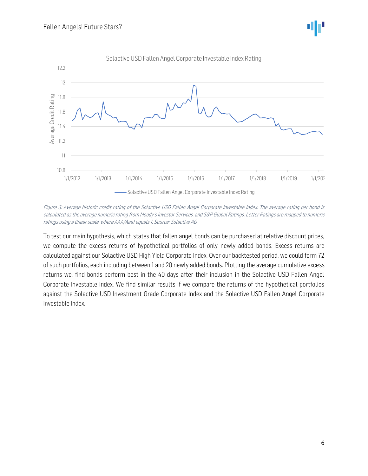

Figure 3: Average historic credit rating of the Solactive USD Fallen Angel Corporate Investable Index. The average rating per bond is calculated as the average numeric rating from Moody's Investor Services, and S&P Global Ratings. Letter Ratings are mapped to numeric ratings using a linear scale, where AAA/Aaa1 equals 1. Source: Solactive AG

To test our main hypothesis, which states that fallen angel bonds can be purchased at relative discount prices, we compute the excess returns of hypothetical portfolios of only newly added bonds. Excess returns are calculated against our Solactive USD High Yield Corporate Index. Over our backtested period, we could form 72 of such portfolios, each including between 1 and 20 newly added bonds. Plotting the average cumulative excess returns we, find bonds perform best in the 40 days after their inclusion in the Solactive USD Fallen Angel Corporate Investable Index. We find similar results if we compare the returns of the hypothetical portfolios against the Solactive USD Investment Grade Corporate Index and the Solactive USD Fallen Angel Corporate Investable Index.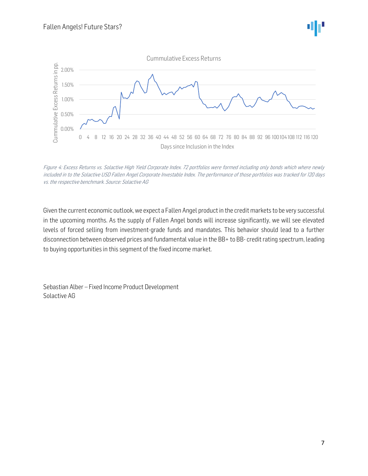

Figure 4: Excess Returns vs. Solactive High Yield Corporate Index. 72 portfolios were formed including only bonds which where newly included in to the Solactive USD Fallen Angel Corporate Investable Index. The performance of those portfolios was tracked for 120 days vs. the respective benchmark. Source: Solactive AG

Given the current economic outlook, we expect a Fallen Angel product in the credit markets to be very successful in the upcoming months. As the supply of Fallen Angel bonds will increase significantly, we will see elevated levels of forced selling from investment-grade funds and mandates. This behavior should lead to a further disconnection between observed prices and fundamental value in the BB+ to BB- credit rating spectrum, leading to buying opportunities in this segment of the fixed income market.

Sebastian Alber – Fixed Income Product Development Solactive AG